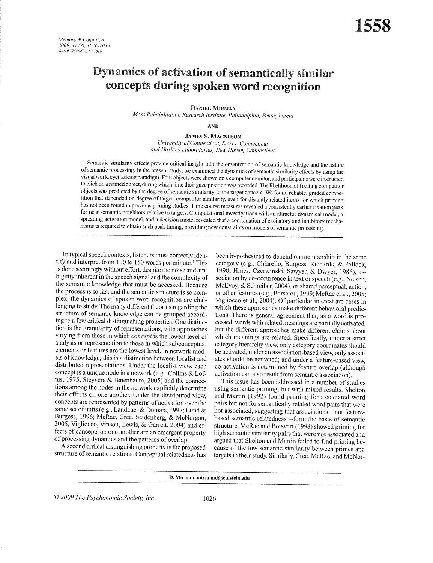# Dynamics of activation of semantically similar concepts during spoken word recognition

**DANIEL MIRMAN** 

Moss Rehabilitation Research Institute, Philadelphia, Pennsylvania

**AND** 

**JAMES S. MAGNUSON** University of Connecticut, Storrs, Connecticut and Haskins Laboratories, New Haven, Connecticut

Semantic similarity effects provide critical insight into the organization of semantic knowledge and the nature of semantic processing. In the present study, we examined the dynamics of semantic similarity effects by using the visual world eyetracking paradigm. Four objects were shown on a computer monitor, and participants were instructed to click on a named object, during which time their gaze position was recorded. The likelihood of fixating competitor objects was predicted by the degree of semantic similarity to the target concept. We found reliable, graded competition that depended on degree of target-competitor similarity, even for distantly related items for which priming has not been found in previous priming studies. Time course measures revealed a consistently earlier fixation peak for near semantic neighbors relative to targets. Computational investigations with an attractor dynamical model, a spreading activation model, and a decision model revealed that a combination of excitatory and inhibitory mechanisms is required to obtain such peak timing, providing new constraints on models of semantic processing.

In typical speech contexts, listeners must correctly identify and interpret from 100 to 150 words per minute.<sup>1</sup> This is done seemingly without effort, despite the noise and ambiguity inherent in the speech signal and the complexity of the semantic knowledge that must be accessed. Because the process is so fast and the semantic structure is so complex, the dynamics of spoken word recognition are challenging to study. The many different theories regarding the structure of semantic knowledge can be grouped according to a few critical distinguishing properties. One distinction is the granularity of representations, with approaches varying from those in which *concept* is the lowest level of analysis or representation to those in which subconceptual elements or features are the lowest level. In network models of knowledge, this is a distinction between localist and distributed representations. Under the localist view, each concept is a unique node in a network (e.g., Collins & Loftus, 1975; Steyvers & Tenenbaum, 2005) and the connections among the nodes in the network explicitly determine their effects on one another. Under the distributed view, concepts are represented by patterns of activation over the same set of units (e.g., Landauer & Dumais, 1997; Lund & Burgess, 1996; McRae, Cree, Seidenberg, & McNorgan, 2005; Vigliocco, Vinson, Lewis, & Garrett, 2004) and effects of concepts on one another are an emergent property of processing dynamics and the patterns of overlap.

A second critical distinguishing property is the proposed structure of semantic relations. Conceptual relatedness has

been hypothesized to depend on membership in the same category (e.g., Chiarello, Burgess, Richards, & Pollock, 1990; Hines, Czerwinski, Sawyer, & Dwyer, 1986), association by co-occurrence in text or speech (e.g., Nelson, McEvoy, & Schreiber, 2004), or shared perceptual, action, or other features (e.g., Barsalou, 1999; McRae et al., 2005; Vigliocco et al., 2004). Of particular interest are cases in which these approaches make different behavioral predictions. There is general agreement that, as a word is processed, words with related meanings are partially activated, but the different approaches make different claims about which meanings are related. Specifically, under a strict category hierarchy view, only category coordinates should be activated; under an association-based view, only associates should be activated; and under a feature-based view, co-activation is determined by feature overlap (although activation can also result from semantic association).

This issue has been addressed in a number of studies using semantic priming, but with mixed results. Shelton and Martin (1992) found priming for associated word pairs but not for semantically related word pairs that were not associated, suggesting that associations-not featurebased semantic relatedness-form the basis of semantic structure. McRae and Boisvert (1998) showed priming for high semantic similarity pairs that were not associated and argued that Shelton and Martin failed to find priming because of the low semantic similarity between primes and targets in their study. Similarly, Cree, McRae, and McNor-

D. Mirman, mirmand@einstein.edu

<sup>© 2009</sup> The Psychonomic Society, Inc.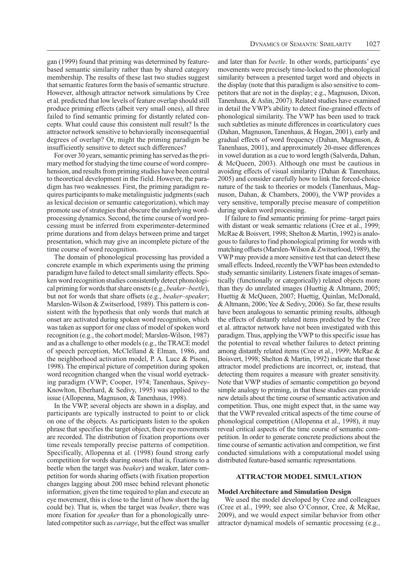gan (1999) found that priming was determined by featurebased semantic similarity rather than by shared category membership. The results of these last two studies suggest that semantic features form the basis of semantic structure. However, although attractor network simulations by Cree et al. predicted that low levels of feature overlap should still produce priming effects (albeit very small ones), all three failed to find semantic priming for distantly related concepts. What could cause this consistent null result? Is the attractor network sensitive to behaviorally inconsequential degrees of overlap? Or, might the priming paradigm be insufficiently sensitive to detect such differences?

For over 30 years, semantic priming has served as the primary method for studying the time course of word comprehension, and results from priming studies have been central to theoretical development in the field. However, the paradigm has two weaknesses. First, the priming paradigm requires participants to make metalinguistic judgments (such as lexical decision or semantic categorization), which may promote use of strategies that obscure the underlying wordprocessing dynamics. Second, the time course of word processing must be inferred from experimenter-determined prime durations and from delays between prime and target presentation, which may give an incomplete picture of the time course of word recognition.

The domain of phonological processing has provided a concrete example in which experiments using the priming paradigm have failed to detect small similarity effects. Spoken word recognition studies consistently detect phonological priming for words that share onsets (e.g., *beaker–beetle*), but not for words that share offsets (e.g., *beaker*–*speaker*; Marslen-Wilson & Zwitserlood, 1989). This pattern is consistent with the hypothesis that only words that match at onset are activated during spoken word recognition, which was taken as support for one class of model of spoken word recognition (e.g., the cohort model; Marslen-Wilson, 1987) and as a challenge to other models (e.g., theTRACE model of speech perception, McClelland & Elman, 1986, and the neighborhood activation model, P. A. Luce & Pisoni, 1998). The empirical picture of competition during spoken word recognition changed when the visual world eyetracking paradigm (VWP; Cooper, 1974; Tanenhaus, Spivey-Knowlton, Eberhard, & Sedivy, 1995) was applied to the issue (Allopenna, Magnuson, & Tanenhaus, 1998).

In the VWP, several objects are shown in a display, and participants are typically instructed to point to or click on one of the objects. As participants listen to the spoken phrase that specifies the target object, their eye movements are recorded. The distribution of fixation proportions over time reveals temporally precise patterns of competition. Specifically, Allopenna et al. (1998) found strong early competition for words sharing onsets (that is, fixations to a beetle when the target was *beaker*) and weaker, later competition for words sharing offsets (with fixation proportion changes lagging about 200 msec behind relevant phonetic information; given the time required to plan and execute an eye movement, this is close to the limit of how short the lag could be). That is, when the target was *beaker*, there was more fixation for *speaker* than for a phonologically unrelated competitor such as *carriage*, but the effect was smaller

and later than for *beetle*. In other words, participants' eye movements were precisely time-locked to the phonological similarity between a presented target word and objects in the display (note that this paradigm is also sensitive to competitors that are not in the display; e.g., Magnuson, Dixon, Tanenhaus, & Aslin, 2007). Related studies have examined in detail the VWP's ability to detect fine-grained effects of phonological similarity. The VWP has been used to track such subtleties as minute differences in coarticulatory cues (Dahan, Magnuson, Tanenhaus, & Hogan, 2001), early and gradual effects of word frequency (Dahan, Magnuson, & Tanenhaus, 2001), and approximately 20-msec differences in vowel duration as a cue to word length (Salverda, Dahan, & McQueen, 2003). Although one must be cautious in avoiding effects of visual similarity (Dahan & Tanenhaus, 2005) and consider carefully how to link the forced-choice nature of the task to theories or models (Tanenhaus, Magnuson, Dahan, & Chambers, 2000), the VWP provides a very sensitive, temporally precise measure of competition during spoken word processing.

If failure to find semantic priming for prime–target pairs with distant or weak semantic relations (Cree et al., 1999; McRae & Boisvert, 1998; Shelton & Martin, 1992) is analogousto failuresto find phonological priming for words with matching offsets (Marslen-Wilson  $&\&$  Zwitserlood, 1989), the VWP may provide a more sensitive test that can detect these small effects. Indeed, recently the VWP has been extended to study semantic similarity. Listeners fixate images of semantically (functionally or categorically) related objects more than they do unrelated images (Huettig & Altmann, 2005; Huettig & McQueen, 2007; Huettig, Quinlan, McDonald, &Altmann, 2006;Yee & Sedivy, 2006). So far, these results have been analogous to semantic priming results, although the effects of distantly related items predicted by the Cree et al. attractor network have not been investigated with this paradigm. Thus, applying the VWP to this specific issue has the potential to reveal whether failures to detect priming among distantly related items (Cree et al., 1999; McRae & Boisvert, 1998; Shelton & Martin, 1992) indicate that those attractor model predictions are incorrect, or, instead, that detecting them requires a measure with greater sensitivity. Note that VWP studies of semantic competition go beyond simple analogy to priming, in that these studies can provide new details about the time course of semantic activation and competition. Thus, one might expect that, in the same way that the VWP revealed critical aspects of the time course of phonological competition (Allopenna et al., 1998), it may reveal critical aspects of the time course of semantic competition. In order to generate concrete predictions about the time course of semantic activation and competition, we first conducted simulations with a computational model using distributed feature-based semantic representations.

# **ATTRACTOR MODEL SIMULATION**

# **ModelArchitecture and Simulation Design**

We used the model developed by Cree and colleagues (Cree et al., 1999; see also O'Connor, Cree, & McRae, 2009), and we would expect similar behavior from other attractor dynamical models of semantic processing (e.g.,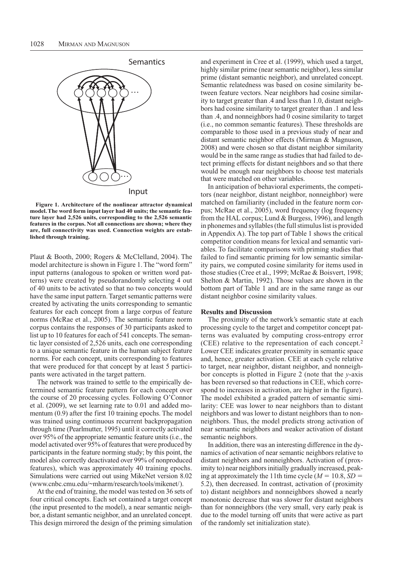

**Figure 1. Architecture of the nonlinear attractor dynamical model.The word form input layer had 40 units; the semantic feature layer had 2,526 units, corresponding to the 2,526 semantic features in the corpus. Not all connections are shown; where they are, full connectivity was used. Connection weights are established through training.**

Plaut & Booth, 2000; Rogers & McClelland, 2004). The model architecture is shown in Figure 1. The "word form" input patterns (analogous to spoken or written word patterns) were created by pseudorandomly selecting 4 out of 40 units to be activated so that no two concepts would have the same input pattern. Target semantic patterns were created by activating the units corresponding to semantic features for each concept from a large corpus of feature norms (McRae et al., 2005). The semantic feature norm corpus contains the responses of 30 participants asked to list up to 10 features for each of 541 concepts. The semantic layer consisted of 2,526 units, each one corresponding to a unique semantic feature in the human subject feature norms. For each concept, units corresponding to features that were produced for that concept by at least 5 participants were activated in the target pattern.

The network was trained to settle to the empirically determined semantic feature pattern for each concept over the course of 20 processing cycles. Following O'Connor et al. (2009), we set learning rate to 0.01 and added momentum (0.9) after the first 10 training epochs. The model was trained using continuous recurrent backpropagation through time (Pearlmutter, 1995) until it correctly activated over 95% of the appropriate semantic feature units (i.e., the model activated over 95% of features that were produced by participants in the feature norming study; by this point, the model also correctly deactivated over 99% of nonproduced features), which was approximately 40 training epochs. Simulations were carried out using MikeNet version 8.02 (www.cnbc.cmu.edu/~mharm/research/tools/mikenet/).

At the end of training, the model wastested on 36 sets of four critical concepts. Each set contained a target concept (the input presented to the model), a near semantic neighbor, a distant semantic neighbor, and an unrelated concept. This design mirrored the design of the priming simulation

and experiment in Cree et al. (1999), which used a target, highly similar prime (near semantic neighbor), less similar prime (distant semantic neighbor), and unrelated concept. Semantic relatedness was based on cosine similarity between feature vectors. Near neighbors had cosine similarity to target greater than .4 and less than 1.0, distant neighbors had cosine similarity to target greater than .1 and less than .4, and nonneighbors had 0 cosine similarity to target (i.e., no common semantic features). These thresholds are comparable to those used in a previous study of near and distant semantic neighbor effects (Mirman & Magnuson, 2008) and were chosen so that distant neighbor similarity would be in the same range as studies that had failed to detect priming effects for distant neighbors and so that there would be enough near neighbors to choose test materials that were matched on other variables.

In anticipation of behavioral experiments, the competitors (near neighbor, distant neighbor, nonneighbor) were matched on familiarity (included in the feature norm corpus; McRae et al., 2005), word frequency (log frequency from the HAL corpus; Lund & Burgess, 1996), and length in phonemes and syllables (the full stimulus list is provided in Appendix A). The top part of Table 1 shows the critical competitor condition means for lexical and semantic variables. To facilitate comparisons with priming studies that failed to find semantic priming for low semantic similarity pairs, we computed cosine similarity for items used in those studies (Cree et al., 1999; McRae & Boisvert, 1998; Shelton & Martin, 1992). Those values are shown in the bottom part of Table 1 and are in the same range as our distant neighbor cosine similarity values.

# **Results and Discussion**

The proximity of the network's semantic state at each processing cycle to the target and competitor concept patterns was evaluated by computing cross-entropy error (CEE) relative to the representation of each concept.2 Lower CEE indicates greater proximity in semantic space and, hence, greater activation. CEE at each cycle relative to target, near neighbor, distant neighbor, and nonneighbor concepts is plotted in Figure 2 (note that the *y*-axis has been reversed so that reductions in CEE, which correspond to increases in activation, are higher in the figure). The model exhibited a graded pattern of semantic similarity: CEE was lower to near neighbors than to distant neighbors and was lower to distant neighbors than to nonneighbors. Thus, the model predicts strong activation of near semantic neighbors and weaker activation of distant semantic neighbors.

In addition, there was an interesting difference in the dynamics of activation of near semantic neighbors relative to distant neighbors and nonneighbors. Activation of (proximity to) near neighbors initially gradually increased, peaking at approximately the 11th time cycle  $(M = 10.8, SD =$ 5.2), then decreased. In contrast, activation of (proximity to) distant neighbors and nonneighbors showed a nearly monotonic decrease that was slower for distant neighbors than for nonneighbors (the very small, very early peak is due to the model turning off units that were active as part of the randomly set initialization state).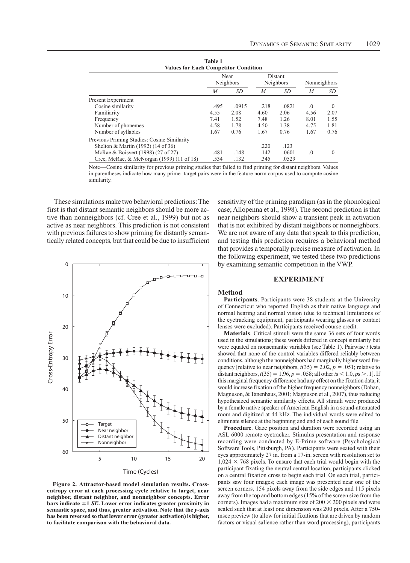| <b>Table 1</b><br><b>Values for Each Competitor Condition</b> |                   |       |      |                      |              |          |  |  |  |  |  |
|---------------------------------------------------------------|-------------------|-------|------|----------------------|--------------|----------|--|--|--|--|--|
|                                                               | Near<br>Neighbors |       |      | Distant<br>Neighbors | Nonneighbors |          |  |  |  |  |  |
|                                                               | $\boldsymbol{M}$  | SD    | M    | SD                   | M            | SD.      |  |  |  |  |  |
| Present Experiment                                            |                   |       |      |                      |              |          |  |  |  |  |  |
| Cosine similarity                                             | .495              | .0915 | .218 | .0821                | $\Omega$     | $\cdot$  |  |  |  |  |  |
| Familiarity                                                   | 4.55              | 2.08  | 4.60 | 2.06                 | 4.56         | 2.07     |  |  |  |  |  |
| Frequency                                                     | 7.41              | 1.52  | 7.48 | 1.26                 | 8.01         | 1.55     |  |  |  |  |  |
| Number of phonemes                                            | 4.58              | 1.78  | 4.50 | 1.38                 | 4.75         | 1.81     |  |  |  |  |  |
| Number of syllables                                           | 1.67              | 0.76  | 1.67 | 0.76                 | 1.67         | 0.76     |  |  |  |  |  |
| Previous Priming Studies: Cosine Similarity                   |                   |       |      |                      |              |          |  |  |  |  |  |
| Shelton & Martin (1992) (14 of 36)                            |                   |       | .220 | .123                 |              |          |  |  |  |  |  |
| McRae & Boisvert (1998) (27 of 27)                            | .481              | .148  | .142 | .0601                | $\Omega$     | $\Omega$ |  |  |  |  |  |
| Cree, McRae, & McNorgan (1999) (11 of 18)                     | .534              | .132  | .345 | .0529                |              |          |  |  |  |  |  |

Note—Cosine similarity for previous priming studies that failed to find priming for distant neighbors. Values in parentheses indicate how many prime–target pairs were in the feature norm corpus used to compute cosine similarity.

These simulations make two behavioral predictions:The first is that distant semantic neighbors should be more active than nonneighbors (cf. Cree et al., 1999) but not as active as near neighbors. This prediction is not consistent with previous failures to show priming for distantly semantically related concepts, but that could be due to insufficient



**Figure 2. Attractor-based model simulation results. Crossentropy error at each processing cycle relative to target, near neighbor, distant neighbor, and nonneighbor concepts. Error bars indicate 1** *SE***. Lower error indicates greater proximity in semantic space, and thus, greater activation. Note that the** *y***-axis has been reversed so thatlower error (greater activation)is higher, to facilitate comparison with the behavioral data.**

sensitivity of the priming paradigm (as in the phonological case; Allopenna et al., 1998). The second prediction is that near neighbors should show a transient peak in activation that is not exhibited by distant neighbors or nonneighbors. We are not aware of any data that speak to this prediction, and testing this prediction requires a behavioral method that provides a temporally precise measure of activation. In the following experiment, we tested these two predictions by examining semantic competition in the VWP.

## **EXPERIMENT**

# **Method**

**Participants**. Participants were 38 students at the University of Connecticut who reported English as their native language and normal hearing and normal vision (due to technical limitations of the eyetracking equipment, participants wearing glasses or contact lenses were excluded). Participants received course credit.

**Materials**. Critical stimuli were the same 36 sets of four words used in the simulations; these words differed in concept similarity but were equated on nonsemantic variables (see Table 1). Pairwise *t* tests showed that none of the control variables differed reliably between conditions, although the nonneighbors had marginally higher word frequency [relative to near neighbors,  $t(35) = 2.02$ ,  $p = .051$ ; relative to distant neighbors,  $t(35) = 1.96$ ,  $p = .058$ ; all other  $ts < 1.0$ ,  $ps > .1$ . If this marginal frequency difference had any effect on the fixation data, it would increase fixation of the higher frequency nonneighbors(Dahan, Magnuson, & Tanenhaus, 2001; Magnuson et al., 2007), thus reducing hypothesized semantic similarity effects. All stimuli were produced by a female native speaker of American English in a sound-attenuated room and digitized at 44 kHz. The individual words were edited to eliminate silence at the beginning and end of each sound file.

**Procedure**. Gaze position and duration were recorded using an ASL 6000 remote eyetracker. Stimulus presentation and response recording were conducted by E-Prime software (Psychological Software Tools, Pittsburgh, PA). Participants were seated with their eyes approximately 27 in. from a 17-in. screen with resolution set to  $1,024 \times 768$  pixels. To ensure that each trial would begin with the participant fixating the neutral central location, participants clicked on a central fixation cross to begin each trial. On each trial, participants saw four images; each image was presented near one of the screen corners, 154 pixels away from the side edges and 115 pixels away from the top and bottom edges(15% of the screen size from the corners). Images had a maximum size of  $200 \times 200$  pixels and were scaled such that at least one dimension was 200 pixels. After a 750 msec preview (to allow for initial fixations that are driven by random factors or visual salience rather than word processing), participants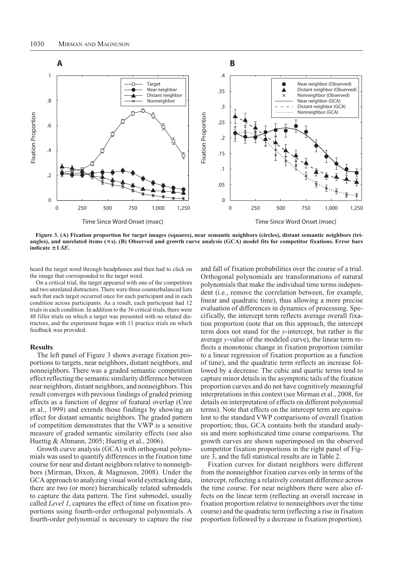

Figure 3. (A) Fixation proportion for target images (squares), near semantic neighbors (circles), distant semantic neighbors (triangles), and unrelated items (×s). (B) Observed and growth curve analysis (GCA) model fits for competitor fixations. Error bars **indicate**  $\pm 1$  *SE*.

heard the target word through headphones and then had to click on the image that corresponded to the target word.

On a critical trial, the target appeared with one of the competitors and two unrelated distractors.There were three counterbalanced lists such that each target occurred once for each participant and in each condition across participants. As a result, each participant had 12 trials in each condition. In addition to the 36 critical trials, there were 48 filler trials on which a target was presented with no related distractors, and the experiment began with 11 practice trials on which feedback was provided.

# **Results**

The left panel of Figure 3 shows average fixation proportions to targets, near neighbors, distant neighbors, and nonneighbors. There was a graded semantic competition effect reflecting the semantic similarity difference between near neighbors, distant neighbors, and nonneighbors. This result converges with previous findings of graded priming effects as a function of degree of featural overlap (Cree et al., 1999) and extends those findings by showing an effect for distant semantic neighbors. The graded pattern of competition demonstrates that the VWP is a sensitive measure of graded semantic similarity effects (see also Huettig & Altmann, 2005; Huettig et al., 2006).

Growth curve analysis (GCA) with orthogonal polynomials was used to quantify differences in the fixation time course for near and distant neighbors relative to nonneighbors (Mirman, Dixon, & Magnuson, 2008). Under the GCA approach to analyzing visual world eyetracking data, there are two (or more) hierarchically related submodels to capture the data pattern. The first submodel, usually called *Level 1*, captures the effect of time on fixation proportions using fourth-order orthogonal polynomials. A fourth-order polynomial is necessary to capture the rise

and fall of fixation probabilities over the course of a trial. Orthogonal polynomials are transformations of natural polynomials that make the individual time terms independent (i.e., remove the correlation between, for example, linear and quadratic time), thus allowing a more precise evaluation of differences in dynamics of processing. Specifically, the intercept term reflects average overall fixation proportion (note that on this approach, the intercept term does not stand for the *y*-intercept, but rather is the average *y*-value of the modeled curve), the linear term reflects a monotonic change in fixation proportion (similar to a linear regression of fixation proportion as a function of time), and the quadratic term reflects an increase followed by a decrease. The cubic and quartic terms tend to capture minor details in the asymptotic tails of the fixation proportion curves and do not have cognitively meaningful interpretations in this context (see Mirman et al., 2008, for details on interpretation of effects on different polynomial terms). Note that effects on the intercept term are equivalent to the standard VWP comparisons of overall fixation proportion; thus, GCA contains both the standard analysis and more sophisticated time course comparisons. The growth curves are shown superimposed on the observed competitor fixation proportions in the right panel of Figure 3, and the full statistical results are in Table 2.

Fixation curves for distant neighbors were different from the nonneighbor fixation curves only in terms of the intercept, reflecting a relatively constant difference across the time course. For near neighbors there were also effects on the linear term (reflecting an overall increase in fixation proportion relative to nonneighbors over the time course) and the quadratic term (reflecting a rise in fixation proportion followed by a decrease in fixation proportion).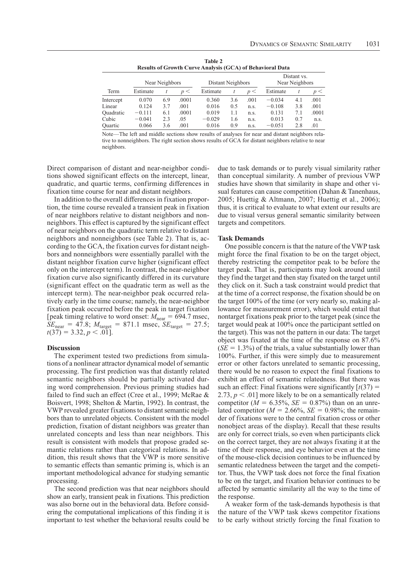| <b>Table 2</b><br><b>Results of Growth Curve Analysis (GCA) of Behavioral Data</b> |          |                |       |                   |     |      |                               |     |       |  |
|------------------------------------------------------------------------------------|----------|----------------|-------|-------------------|-----|------|-------------------------------|-----|-------|--|
|                                                                                    |          | Near Neighbors |       | Distant Neighbors |     |      | Distant vs.<br>Near Neighbors |     |       |  |
| Term                                                                               | Estimate | t              | p <   | Estimate          | t   | p <  | Estimate                      | t   | p <   |  |
| Intercept                                                                          | 0.070    | 6.9            | .0001 | 0.360             | 3.6 | .001 | $-0.034$                      | 4.1 | .001  |  |
| Linear                                                                             | 0.124    | 3.7            | .001  | 0.016             | 0.5 | n.s. | $-0.108$                      | 3.8 | .001  |  |
| Quadratic                                                                          | $-0.111$ | 6.1            | .0001 | 0.019             | 1.1 | n.s. | 0.131                         | 7.1 | .0001 |  |
| Cubic                                                                              | $-0.041$ | 2.3            | .05   | $-0.029$          | 1.6 | n.s. | 0.013                         | 0.7 | n.s.  |  |
| <b>Ouartic</b>                                                                     | 0.066    | 3.6            | .001  | 0.016             | 0.9 | n.s. | $-0.051$                      | 2.8 | .01   |  |

Note—The left and middle sections show results of analyses for near and distant neighbors relative to nonneighbors. The right section shows results of GCA for distant neighbors relative to near neighbors.

Direct comparison of distant and near-neighbor conditions showed significant effects on the intercept, linear, quadratic, and quartic terms, confirming differences in fixation time course for near and distant neighbors.

In addition to the overall differences in fixation proportion, the time course revealed a transient peak in fixation of near neighbors relative to distant neighbors and nonneighbors.This effect is captured by the significant effect of near neighbors on the quadratic term relative to distant neighbors and nonneighbors (see Table 2). That is, according to the GCA, the fixation curves for distant neighbors and nonneighbors were essentially parallel with the distant neighbor fixation curve higher (significant effect only on the intercept term). In contrast, the near-neighbor fixation curve also significantly differed in its curvature (significant effect on the quadratic term as well as the intercept term). The near-neighbor peak occurred relatively early in the time course; namely, the near-neighbor fixation peak occurred before the peak in target fixation [peak timing relative to word onset:  $M_{\text{near}} = 694.7 \text{ msec}$ ,  $SE_{\text{near}}$  = 47.8;  $M_{\text{target}}$  = 871.1 msec,  $SE_{\text{target}}$  = 27.5;  $t(37) = 3.32, p < .01$ .

# **Discussion**

The experiment tested two predictions from simulations of a nonlinear attractor dynamical model of semantic processing. The first prediction was that distantly related semantic neighbors should be partially activated during word comprehension. Previous priming studies had failed to find such an effect (Cree et al., 1999; McRae & Boisvert, 1998; Shelton & Martin, 1992). In contrast, the VWP revealed greater fixations to distant semantic neighbors than to unrelated objects. Consistent with the model prediction, fixation of distant neighbors was greater than unrelated concepts and less than near neighbors. This result is consistent with models that propose graded semantic relations rather than categorical relations. In addition, this result shows that the VWP is more sensitive to semantic effects than semantic priming is, which is an important methodological advance for studying semantic processing.

The second prediction was that near neighbors should show an early, transient peak in fixations. This prediction was also borne out in the behavioral data. Before considering the computational implications of this finding it is important to test whether the behavioral results could be

due to task demands or to purely visual similarity rather than conceptual similarity. A number of previous VWP studies have shown that similarity in shape and other visual features can cause competition (Dahan & Tanenhaus, 2005; Huettig & Altmann, 2007; Huettig et al., 2006); thus, it is critical to evaluate to what extent our results are due to visual versus general semantic similarity between targets and competitors.

# **Task Demands**

One possible concern is that the nature of the VWP task might force the final fixation to be on the target object, thereby restricting the competitor peak to be before the target peak. That is, participants may look around until they find the target and then stay fixated on the target until they click on it. Such a task constraint would predict that at the time of a correct response, the fixation should be on the target 100% of the time (or very nearly so, making allowance for measurement error), which would entail that nontarget fixations peak prior to the target peak (since the target would peak at 100% once the participant settled on the target). This was not the pattern in our data: The target object was fixated at the time of the response on 87.6%  $(SE = 1.3\%)$  of the trials, a value substantially lower than 100%. Further, if this were simply due to measurement error or other factors unrelated to semantic processing, there would be no reason to expect the final fixations to exhibit an effect of semantic relatedness. But there was such an effect: Final fixations were significantly  $[t(37)] =$ 2.73,  $p < .01$ ] more likely to be on a semantically related competitor ( $M = 6.35\%$ ,  $SE = 0.87\%$ ) than on an unrelated competitor ( $M = 2.66\%$ ,  $SE = 0.98\%$ ; the remainder of fixations were to the central fixation cross or other nonobject areas of the display). Recall that these results are only for correct trials, so even when participants click on the correct target, they are not always fixating it at the time of their response, and eye behavior even at the time of the mouse-click decision continues to be influenced by semantic relatedness between the target and the competitor. Thus, the VWP task does not force the final fixation to be on the target, and fixation behavior continues to be affected by semantic similarity all the way to the time of the response.

A weaker form of the task-demands hypothesis is that the nature of the VWP task skews competitor fixations to be early without strictly forcing the final fixation to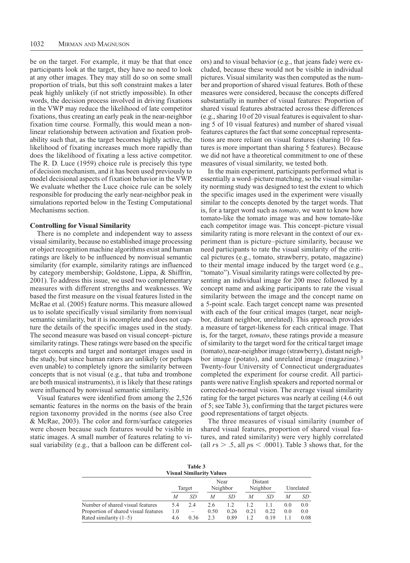be on the target. For example, it may be that that once participants look at the target, they have no need to look at any other images. They may still do so on some small proportion of trials, but this soft constraint makes a later peak highly unlikely (if not strictly impossible). In other words, the decision process involved in driving fixations in the VWP may reduce the likelihood of late competitor fixations, thus creating an early peak in the near-neighbor fixation time course. Formally, this would mean a nonlinear relationship between activation and fixation probability such that, as the target becomes highly active, the likelihood of fixating increases much more rapidly than does the likelihood of fixating a less active competitor. The R. D. Luce (1959) choice rule is precisely this type of decision mechanism, and it has been used previously to model decisional aspects of fixation behavior in the VWP. We evaluate whether the Luce choice rule can be solely responsible for producing the early near-neighbor peak in simulations reported below in the Testing Computational Mechanisms section.

# **Controlling** for Visual Similarity

There is no complete and independent way to assess visual similarity, because no established image processing or object recognition machine algorithms exist and human ratings are likely to be influenced by nonvisual semantic similarity (for example, similarity ratings are influenced by category membership; Goldstone, Lippa, & Shiffrin, 2001). To address this issue, we used two complementary measures with different strengths and weaknesses. We based the first measure on the visual features listed in the McRae et al. (2005) feature norms. This measure allowed us to isolate specifically visual similarity from nonvisual semantic similarity, but it is incomplete and does not capture the details of the specific images used in the study. The second measure was based on visual concept–picture similarity ratings. These ratings were based on the specific target concepts and target and nontarget images used in the study, but since human raters are unlikely (or perhaps even unable) to completely ignore the similarity between concepts that is not visual (e.g., that tuba and trombone are both musical instruments), it is likely that these ratings were influenced by nonvisual semantic similarity.

Visual features were identified from among the 2,526 semantic features in the norms on the basis of the brain region taxonomy provided in the norms (see also Cree & McRae, 2003). The color and form/surface categories were chosen because such features would be visible in static images. A small number of features relating to visual variability (e.g., that a balloon can be different colors) and to visual behavior (e.g., that jeans fade) were excluded, because these would not be visible in individual pictures. Visual similarity was then computed as the number and proportion of shared visual features. Both of these measures were considered, because the concepts differed substantially in number of visual features: Proportion of shared visual features abstracted across these differences (e.g., sharing 10 of 20 visual features is equivalent to sharing 5 of 10 visual features) and number of shared visual features captures the fact that some conceptual representations are more reliant on visual features (sharing 10 features is more important than sharing 5 features). Because we did not have a theoretical commitment to one of these measures of visual similarity, we tested both.

In the main experiment, participants performed what is essentially a word–picture matching, so the visual similarity norming study was designed to test the extent to which the specific images used in the experiment were visually similar to the concepts denoted by the target words. That is, for a target word such as *tomato*, we want to know how tomato-like the tomato image was and how tomato-like each competitor image was. This concept–picture visual similarity rating is more relevant in the context of our experiment than is picture–picture similarity, because we need participants to rate the visual similarity of the critical pictures (e.g., tomato, strawberry, potato, magazine) to their mental image induced by the target word (e.g., "tomato"). Visual similarity ratings were collected by presenting an individual image for 200 msec followed by a concept name and asking participants to rate the visual similarity between the image and the concept name on a 5-point scale. Each target concept name was presented with each of the four critical images (target, near neighbor, distant neighbor, unrelated). This approach provides a measure of target-likeness for each critical image. That is, for the target, *tomato*, these ratings provide a measure of similarity to the target word for the critical target image (tomato), near-neighborimage (strawberry), distant neighbor image (potato), and unrelated image (magazine).<sup>3</sup> Twenty-four University of Connecticut undergraduates completed the experiment for course credit. All participants were native English speakers and reported normal or corrected-to-normal vision. The average visual similarity rating for the target pictures was nearly at ceiling (4.6 out of 5; see Table 3), confirming that the target pictures were good representations of target objects.

The three measures of visual similarity (number of shared visual features, proportion of shared visual features, and rated similarity) were very highly correlated (all  $rs > .5$ , all  $ps < .0001$ ). Table 3 shows that, for the

| Table 3<br><b>Visual Similarity Values</b>                       |            |        |             |                  |             |                     |            |             |  |  |
|------------------------------------------------------------------|------------|--------|-------------|------------------|-------------|---------------------|------------|-------------|--|--|
|                                                                  |            | Target |             | Near<br>Neighbor |             | Distant<br>Neighbor |            | Unrelated   |  |  |
|                                                                  | M          | SD     | M           | SD               | M           | SD                  | M          | SD          |  |  |
| Number of shared visual features                                 | 5.4        | 2.4    | 2.6         | 1.2              | 1.2         |                     | 0.0        | 0.0         |  |  |
| Proportion of shared visual features<br>Rated similarity $(1-5)$ | 1.0<br>4.6 | 0.36   | 0.50<br>2.3 | 0.26<br>0.89     | 0.21<br>1.2 | 0.22<br>0.19        | 0.0<br>1.1 | 0.0<br>0.08 |  |  |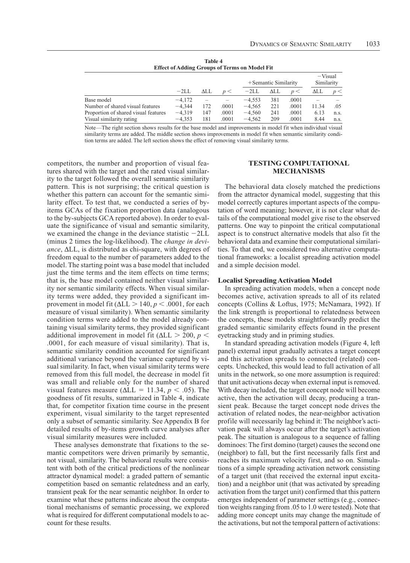| <b>Table 4</b><br><b>Effect of Adding Groups of Terms on Model Fit</b> |     |       |          |     |       |                       |                          |  |  |  |
|------------------------------------------------------------------------|-----|-------|----------|-----|-------|-----------------------|--------------------------|--|--|--|
|                                                                        |     |       |          |     |       |                       |                          |  |  |  |
| $-2LL$                                                                 | ΔLL | p <   | $-2LL$   | ΔLL | p <   | ΔLL                   | p <                      |  |  |  |
| $-4.172$                                                               |     | -     | $-4.553$ | 381 | .0001 |                       |                          |  |  |  |
| $-4,344$                                                               | 172 | .0001 | $-4.565$ | 221 | .0001 | 11.34                 | .05                      |  |  |  |
| $-4,319$                                                               | 147 | .0001 | $-4.560$ | 241 | .0001 | 6.13                  | n.s.                     |  |  |  |
| $-4.353$                                                               | 181 | .0001 | $-4.562$ | 209 | .0001 | 8.44                  | n.s.                     |  |  |  |
|                                                                        |     |       |          |     |       | + Semantic Similarity | $-V$ isual<br>Similarity |  |  |  |

Note—The right section shows results for the base model and improvements in model fit when individual visual similarity terms are added. The middle section shows improvements in model fit when semantic similarity condition terms are added. The left section shows the effect of removing visual similarity terms.

competitors, the number and proportion of visual features shared with the target and the rated visual similarity to the target followed the overall semantic similarity pattern. This is not surprising; the critical question is whether this pattern can account for the semantic similarity effect. To test that, we conducted a series of byitems GCAs of the fixation proportion data (analogous to the by-subjects GCA reported above). In order to evaluate the significance of visual and semantic similarity, we examined the change in the deviance statistic  $-2LL$ (minus 2 times the log-likelihood). The *change in deviance*, ΔLL, is distributed as chi-square, with degrees of freedom equal to the number of parameters added to the model. The starting point was a base model that included just the time terms and the item effects on time terms; that is, the base model contained neither visual similarity nor semantic similarity effects. When visual similarity terms were added, they provided a significant improvement in model fit ( $\Delta LL > 140$ ,  $p < .0001$ , for each measure of visual similarity). When semantic similarity condition terms were added to the model already containing visual similarity terms, they provided significant additional improvement in model fit ( $\Delta LL > 200$ , *p* < .0001, for each measure of visual similarity). That is, semantic similarity condition accounted for significant additional variance beyond the variance captured by visual similarity. In fact, when visual similarity terms were removed from this full model, the decrease in model fit was small and reliable only for the number of shared visual features measure ( $\Delta LL = 11.34$ ,  $p < .05$ ). The goodness of fit results, summarized in Table 4, indicate that, for competitor fixation time course in the present experiment, visual similarity to the target represented only a subset of semantic similarity. See Appendix B for detailed results of by-items growth curve analyses after visual similarity measures were included.

These analyses demonstrate that fixations to the semantic competitors were driven primarily by semantic, not visual, similarity. The behavioral results were consistent with both of the critical predictions of the nonlinear attractor dynamical model: a graded pattern of semantic competition based on semantic relatedness and an early, transient peak for the near semantic neighbor. In order to examine what these patterns indicate about the computational mechanisms of semantic processing, we explored what is required for different computational models to account for these results.

# **TESTING COMPUTATIONAL MECHANISMS**

The behavioral data closely matched the predictions from the attractor dynamical model, suggesting that this model correctly captures important aspects of the computation of word meaning; however, it is not clear what details of the computational model give rise to the observed patterns. One way to pinpoint the critical computational aspect is to construct alternative models that also fit the behavioral data and examine their computational similarities. To that end, we considered two alternative computational frameworks: a localist spreading activation model and a simple decision model.

# **Localist SpreadingActivation Model**

In spreading activation models, when a concept node becomes active, activation spreads to all of its related concepts (Collins & Loftus, 1975; McNamara, 1992). If the link strength is proportional to relatedness between the concepts, these models straightforwardly predict the graded semantic similarity effects found in the present eyetracking study and in priming studies.

In standard spreading activation models (Figure 4, left panel) external input gradually activates a target concept and this activation spreads to connected (related) concepts. Unchecked, this would lead to full activation of all units in the network, so one more assumption is required: that unit activations decay when external input is removed. With decay included, the target concept node will become active, then the activation will decay, producing a transient peak. Because the target concept node drives the activation of related nodes, the near-neighbor activation profile will necessarily lag behind it: The neighbor's activation peak will always occur after the target's activation peak. The situation is analogous to a sequence of falling dominoes: The first domino (target) causes the second one (neighbor) to fall, but the first necessarily falls first and reaches its maximum velocity first, and so on. Simulations of a simple spreading activation network consisting of a target unit (that received the external input excitation) and a neighbor unit (that was activated by spreading activation from the target unit) confirmed that this pattern emerges independent of parameter settings (e.g., connection weights ranging from .05 to 1.0 were tested). Note that adding more concept units may change the magnitude of the activations, but not the temporal pattern of activations: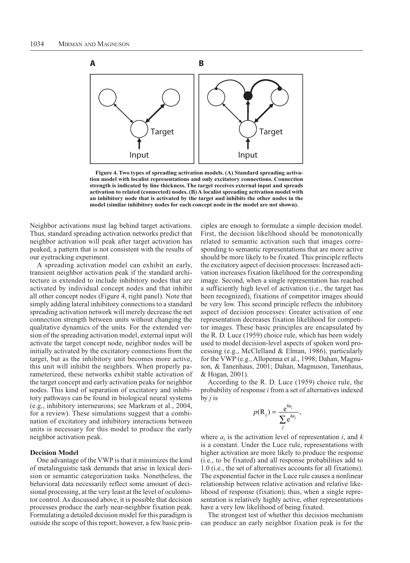

**Figure 4.Two types of spreading activation models. (A) Standard spreading activation model with localist representations and only excitatory connections. Connection strength is indicated by line thickness.The target receives external input and spreads activation to related (connected) nodes. (B)A localist spreading activation model with an inhibitory node that is activated by the target and inhibits the other nodes in the model (similar inhibitory nodes for each concept node in the model are not shown).**

Neighbor activations must lag behind target activations. Thus, standard spreading activation networks predict that neighbor activation will peak after target activation has peaked, a pattern that is not consistent with the results of our eyetracking experiment.

A spreading activation model can exhibit an early, transient neighbor activation peak if the standard architecture is extended to include inhibitory nodes that are activated by individual concept nodes and that inhibit all other concept nodes (Figure 4, right panel). Note that simply adding lateral inhibitory connections to a standard spreading activation network will merely decrease the net connection strength between units without changing the qualitative dynamics of the units. For the extended version of the spreading activation model, external input will activate the target concept node, neighbor nodes will be initially activated by the excitatory connections from the target, but as the inhibitory unit becomes more active, this unit will inhibit the neighbors. When properly parameterized, these networks exhibit stable activation of the target concept and early activation peaks for neighbor nodes. This kind of separation of excitatory and inhibitory pathways can be found in biological neural systems (e.g., inhibitory interneurons; see Markram et al., 2004, for a review). These simulations suggest that a combination of excitatory and inhibitory interactions between units is necessary for this model to produce the early neighbor activation peak.

# **Decision Model**

One advantage of the VWP is that it minimizes the kind of metalinguistic task demands that arise in lexical decision or semantic categorization tasks. Nonetheless, the behavioral data necessarily reflect some amount of decisional processing, at the very least at the level of oculomotor control. As discussed above, it is possible that decision processes produce the early near-neighbor fixation peak. Formulating a detailed decision model for this paradigm is outside the scope of this report; however, a few basic principles are enough to formulate a simple decision model. First, the decision likelihood should be monotonically related to semantic activation such that images corresponding to semantic representations that are more active should be more likely to be fixated. This principle reflects the excitatory aspect of decision processes: Increased activation increases fixation likelihood for the corresponding image. Second, when a single representation has reached a sufficiently high level of activation (i.e., the target has been recognized), fixations of competitor images should be very low. This second principle reflects the inhibitory aspect of decision processes: Greater activation of one representation decreases fixation likelihood for competitor images. These basic principles are encapsulated by the R. D. Luce (1959) choice rule, which has been widely used to model decision-level aspects of spoken word processing (e.g., McClelland & Elman, 1986), particularly for the VWP (e.g., Allopenna et al., 1998; Dahan, Magnuson, & Tanenhaus, 2001; Dahan, Magnuson, Tanenhaus, & Hogan, 2001).

According to the R. D. Luce (1959) choice rule, the probability of response *i* from a set of alternatives indexed by *j* is

$$
p(\mathbf{R}_i) = \frac{\mathbf{e}^{ka_i}}{\sum_j \mathbf{e}^{ka_j}},
$$

where  $a_i$  is the activation level of representation  $i$ , and  $k$ is a constant. Under the Luce rule, representations with higher activation are more likely to produce the response (i.e., to be fixated) and all response probabilities add to 1.0 (i.e., the set of alternatives accounts for all fixations). The exponential factor in the Luce rule causes a nonlinear relationship between relative activation and relative likelihood of response (fixation); thus, when a single representation is relatively highly active, other representations have a very low likelihood of being fixated.

The strongest test of whether this decision mechanism can produce an early neighbor fixation peak is for the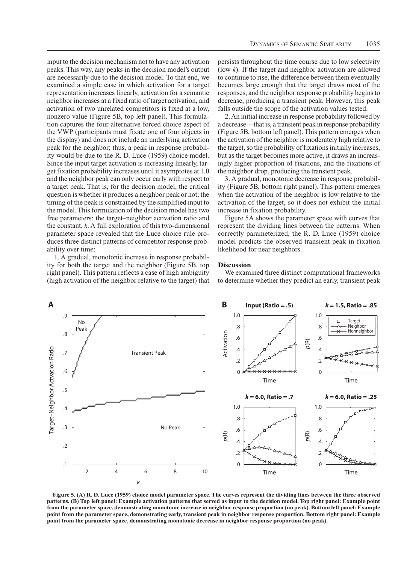input to the decision mechanism not to have any activation peaks. This way, any peaks in the decision model's output are necessarily due to the decision model. To that end, we examined a simple case in which activation for a target representation increases linearly, activation for a semantic neighbor increases at a fixed ratio of target activation, and activation of two unrelated competitors is fixed at a low, nonzero value (Figure 5B, top left panel). This formulation captures the four-alternative forced choice aspect of the VWP (participants must fixate one of four objects in the display) and does not include an underlying activation peak for the neighbor; thus, a peak in response probability would be due to the R. D. Luce (1959) choice model. Since the input target activation is increasing linearly, target fixation probability increases until it asymptotes at 1.0 and the neighbor peak can only occur early with respect to a target peak. That is, for the decision model, the critical question is whether it produces a neighbor peak or not; the timing of the peak is constrained by the simplified input to the model. This formulation of the decision model has two free parameters: the target–neighbor activation ratio and the constant, *k*. A full exploration of this two-dimensional parameter space revealed that the Luce choice rule produces three distinct patterns of competitor response probability over time:

1. A gradual, monotonic increase in response probability for both the target and the neighbor (Figure 5B, top right panel). This pattern reflects a case of high ambiguity (high activation of the neighbor relative to the target) that

persists throughout the time course due to low selectivity (low *k*). If the target and neighbor activation are allowed to continue to rise, the difference between them eventually becomes large enough that the target draws most of the responses, and the neighbor response probability beginsto decrease, producing a transient peak. However, this peak falls outside the scope of the activation values tested.

2.An initial increase in response probability followed by a decrease—that is, a transient peak in response probability (Figure 5B, bottom left panel). This pattern emerges when the activation of the neighbor is moderately high relative to the target, so the probability of fixations initially increases, but as the target becomes more active, it draws an increasingly higher proportion of fixations, and the fixations of the neighbor drop, producing the transient peak.

3. A gradual, monotonic decrease in response probability (Figure 5B, bottom right panel). This pattern emerges when the activation of the neighbor is low relative to the activation of the target, so it does not exhibit the initial increase in fixation probability.

Figure 5A shows the parameter space with curves that represent the dividing lines between the patterns. When correctly parameterized, the R. D. Luce (1959) choice model predicts the observed transient peak in fixation likelihood for near neighbors.

## **Discussion**

We examined three distinct computational frameworks to determine whether they predict an early, transient peak



Figure 5. (A) R. D. Luce (1959) choice model parameter space. The curves represent the dividing lines between the three observed patterns. (B) Top left panel: Example activation patterns that served as input to the decision model. Top right panel: Example point from the parameter space, demonstrating monotonic increase in neighbor response proportion (no peak). Bottom left panel: Example point from the parameter space, demonstrating early, transient peak in neighbor response proportion. Bottom right panel: Example **point from the parameter space, demonstrating monotonic decrease in neighbor response proportion (no peak).**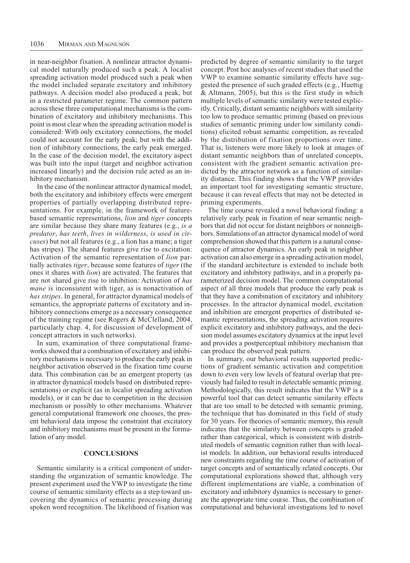in near-neighbor fixation. A nonlinear attractor dynamical model naturally produced such a peak. A localist spreading activation model produced such a peak when the model included separate excitatory and inhibitory pathways. A decision model also produced a peak, but in a restricted parameter regime. The common pattern across these three computational mechanisms is the combination of excitatory and inhibitory mechanisms. This point is most clear when the spreading activation model is considered: With only excitatory connections, the model could not account for the early peak; but with the addition of inhibitory connections, the early peak emerged. In the case of the decision model, the excitatory aspect was built into the input (target and neighbor activation increased linearly) and the decision rule acted as an inhibitory mechanism.

In the case of the nonlinear attractor dynamical model, both the excitatory and inhibitory effects were emergent properties of partially overlapping distributed representations. For example, in the framework of featurebased semantic representations, *lion* and *tiger* concepts are similar because they share many features (e.g., *is a predator*, *has teeth*, *lives in wilderness*, *is used in circuses*) but not all features (e.g., a lion has a mane; a tiger has stripes). The shared features give rise to excitation: Activation of the semantic representation of *lion* partially activates *tiger*, because some features of *tiger* (the ones it shares with *lion*) are activated. The features that are not shared give rise to inhibition: Activation of *has mane* is inconsistent with tiger, as is nonactivation of *has stripes*. In general, for attractor dynamical models of semantics, the appropriate patterns of excitatory and inhibitory connections emerge as a necessary consequence of the training regime (see Rogers & McClelland, 2004, particularly chap. 4, for discussion of development of concept attractors in such networks).

In sum, examination of three computational frameworks showed that a combination of excitatory and inhibitory mechanisms is necessary to produce the early peak in neighbor activation observed in the fixation time course data. This combination can be an emergent property (as in attractor dynamical models based on distributed representations) or explicit (as in localist spreading activation models), or it can be due to competition in the decision mechanism or possibly to other mechanisms. Whatever general computational framework one chooses, the present behavioral data impose the constraint that excitatory and inhibitory mechanisms must be present in the formulation of any model.

# **CONCLUSIONS**

Semantic similarity is a critical component of understanding the organization of semantic knowledge. The present experiment used the VWP to investigate the time course of semantic similarity effects as a step toward uncovering the dynamics of semantic processing during spoken word recognition. The likelihood of fixation was predicted by degree of semantic similarity to the target concept. Post hoc analyses of recent studies that used the VWP to examine semantic similarity effects have suggested the presence of such graded effects (e.g., Huettig & Altmann, 2005), but this is the first study in which multiple levels of semantic similarity were tested explicitly. Critically, distant semantic neighbors with similarity too low to produce semantic priming (based on previous studies of semantic priming under low similarity conditions) elicited robust semantic competition, as revealed by the distribution of fixation proportions over time. That is, listeners were more likely to look at images of distant semantic neighbors than of unrelated concepts, consistent with the gradient semantic activation predicted by the attractor network as a function of similarity distance. This finding shows that the VWP provides an important tool for investigating semantic structure, because it can reveal effects that may not be detected in priming experiments.

The time course revealed a novel behavioral finding: a relatively early peak in fixation of near semantic neighbors that did not occur for distant neighbors or nonneighbors. Simulations of an attractor dynamical model of word comprehension showed that this pattern is a natural consequence of attractor dynamics. An early peak in neighbor activation can also emerge in a spreading activation model, if the standard architecture is extended to include both excitatory and inhibitory pathways, and in a properly parameterized decision model. The common computational aspect of all three models that produce the early peak is that they have a combination of excitatory and inhibitory processes. In the attractor dynamical model, excitation and inhibition are emergent properties of distributed semantic representations, the spreading activation requires explicit excitatory and inhibitory pathways, and the decision model assumes excitatory dynamics at the input level and provides a postperceptual inhibitory mechanism that can produce the observed peak pattern.

In summary, our behavioral results supported predictions of gradient semantic activation and competition down to even very low levels of featural overlap that previously had failed to result in detectable semantic priming. Methodologically, this result indicates that the VWP is a powerful tool that can detect semantic similarity effects that are too small to be detected with semantic priming, the technique that has dominated in this field of study for 30 years. For theories of semantic memory, this result indicates that the similarity between concepts is graded rather than categorical, which is consistent with distributed models of semantic cognition rather than with localist models. In addition, our behavioral results introduced new constraints regarding the time course of activation of target concepts and of semantically related concepts. Our computational explorations showed that, although very different implementations are viable, a combination of excitatory and inhibitory dynamics is necessary to generate the appropriate time course. Thus, the combination of computational and behavioral investigations led to novel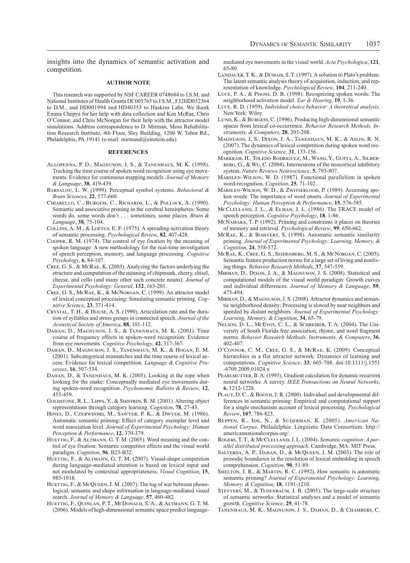insights into the dynamics of semantic activation and competition.

### **AUTHOR NOTE**

This research was supported by NSF CAREER 0748684 to J.S.M. and National Institutes of Health Grants DC005765 to J.S.M., F32HD052364 to D.M., and HD001994 and HD40353 to Haskins Labs. We thank Emma Chepya for her help with data collection and Ken McRae, Chris O'Connor, and Chris McNorgan for their help with the attractor model simulations. Address correspondence to D. Mirman, Moss Rehabilitation Research Institute, 4th Floor, Sley Building, 1200 W. Tabor Rd., Philadelphia, PA 19141 (e-mail: mirmand@einstein.edu).

### **REFERENCES**

- Allopenna, P. D., Magnuson, J. S., & Tanenhaus, M. K. (1998). Tracking the time course of spoken word recognition using eye movements: Evidence for continuous mapping models. *Journal of Memory & Language*, **38**, 419-439.
- Barsalou, L. W. (1999). Perceptual symbol systems. *Behavioral & Brain Sciences*, **22**, 577-660.
- Chiarello, C., Burgess, C., Richards, L., & Pollock, A. (1990). Semantic and associative priming in the cerebral hemispheres: Some words do, some words don't . . . sometimes, some places. *Brain & Language*, **38**, 75-104.
- COLLINS, A. M., & LOFTUS, E. F. (1975). A spreading-activation theory of semantic processing. *Psychological Review*, **82**, 407-428.
- Cooper, R. M. (1974). The control of eye fixation by the meaning of spoken language: A new methodology for the real-time investigation of speech perception, memory, and language processing. *Cognitive Psychology*, **6**, 84-107.
- Cree, G. S., & McRae, K. (2003). Analyzing the factors underlying the structure and computation of the meaning of chipmunk, cherry, chisel, cheese, and cello (and many other such concrete nouns). *Journal of Experimental Psychology: General*, **132**, 163-201.
- Cree, G. S., McRae, K., & McNorgan, C. (1999). An attractor model of lexical conceptual processing: Simulating semantic priming. *Cognitive Science*, **23**, 371-414.
- Crystal, T. H., & House, A. S. (1990). Articulation rate and the duration of syllables and stress groups in connected speech. *Journal of the Acoustical Society of America*, **88**, 101-112.
- Dahan, D., Magnuson, J. S., & Tanenhaus, M. K. (2001). Time course of frequency effects in spoken-word recognition: Evidence from eye movements. *Cognitive Psychology*, **42**, 317-367.
- Dahan, D., Magnuson, J. S., Tanenhaus, M. K., & Hogan, E. M. (2001). Subcategorical mismatches and the time course of lexical access: Evidence for lexical competition. *Language & Cognitive Processes*, **16**, 507-534.
- DAHAN, D., & TANENHAUS, M. K. (2005). Looking at the rope when looking for the snake: Conceptually mediated eye movements during spoken-word recognition. *Psychonomic Bulletin & Review*, **12**, 453-459.
- GOLDSTONE, R. L., LIPPA, Y., & SHIFFRIN, R. M. (2001). Altering object representations through category learning. *Cognition*, **78**, 27-43.
- Hines, D., Czerwinski, M., Sawyer, P. K., & Dwyer, M. (1986). Automatic semantic priming: Effect of category exemplar level and word association level. *Journal of Experimental Psychology: Human Perception & Performance*, **12**, 370-379.
- HUETTIG, F., & ALTMANN, G. T. M. (2005). Word meaning and the control of eye fixation: Semantic competitor effects and the visual world paradigm. *Cognition*, **96**, B23-B32.
- HUETTIG, F., & ALTMANN, G. T. M. (2007). Visual-shape competition during language-mediated attention is based on lexical input and not modulated by contextual appropriateness. *Visual Cognition*, **15**, 985-1018.
- HUETTIG, F., & McQUEEN, J. M. (2007). The tug of war between phonological, semantic and shape information in language-mediated visual search. *Journal of Memory & Language*, **57**, 460-482.
- Huettig, F., Quinlan, P. T., McDonald, S. A., & Altmann, G. T. M. (2006). Models of high-dimensional semantic space predict language-

mediated eye movements in the visual world. *Acta Psychologica*, **121**, 65-80.

- LANDAUER, T. K., & DUMAIS, S. T. (1997). A solution to Plato's problem: The latent semantic analysis theory of acquisition, induction, and representation of knowledge. *Psychological Review*, **104**, 211-240.
- Luce, P. A., & Pisoni, D. B. (1998). Recognizing spoken words: The neighborhood activation model. *Ear & Hearing*, **19**, 1-36.
- Luce, R. D. (1959). *Individual choice behavior: A theoretical analysis*. New York: Wiley.
- LUND, K., & BURGESS, C. (1996). Producing high-dimensional semantic spaces from lexical co-occurrence. *Behavior Research Methods, Instruments, & Computers*, **28**, 203-208.
- Magnuson, J. S., Dixon, J. A., Tanenhaus, M. K., & Aslin, R. N. (2007). The dynamics of lexical competition during spoken word recognition. *Cognitive Science*, **31**, 133-156.
- Markram, H., Toledo-Rodriguez, M., Wang, Y., Gupta, A., Silberberg, G., & Wu, C. (2004). Interneurons of the neocortical inhibitory system. *Nature Reviews Neuroscience*, **5**, 793-807.
- Marslen-Wilson, W. D. (1987). Functional parallelism in spoken word-recognition. *Cognition*, **25**, 71-102.
- Marslen-Wilson, W. D., & Zwitserlood, P. (1989). Accessing spoken words: The importance of word onsets. *Journal of Experimental Psychology: Human Perception & Performance*, **15**, 576-585.
- McClelland, J. L., & Elman, J. L. (1986). The TRACE model of speech perception. *Cognitive Psychology*, **18**, 1-86.
- McNamara, T. P. (1992). Priming and constraints it places on theories of memory and retrieval. *Psychological Review*, **99**, 650-662.
- McRae, K., & Boisvert, S. (1998). Automatic semantic similarity priming. *Journal of Experimental Psychology: Learning, Memory, & Cognition*, **24**, 558-572.
- McRae, K., Cree, G. S., Seidenberg, M. S., & McNorgan, C. (2005). Semantic feature production norms for a large set of living and nonliving things. *Behavior Research Methods*, **37**, 547-559.
- Mirman, D., Dixon, J. A., & Magnuson, J. S. (2008). Statistical and computational models of the visual world paradigm: Growth curves and individual differences. *Journal of Memory & Language*, **59**, 475-494.
- MIRMAN, D., & MAGNUSON, J. S. (2008). Attractor dynamics and semantic neighborhood density: Processing is slowed by near neighbors and speeded by distant neighbors. *Journal of Experimental Psychology: Learning, Memory, & Cognition*, **34**, 65-79.
- Nelson, D. L., McEvoy, C. L., & Schreiber, T. A. (2004). The University of South Florida free association, rhyme, and word fragment norms. *Behavior Research Methods, Instruments, & Computers*, **36**, 402-407.
- O'Connor, C. M., Cree, G. S., & McRae, K. (2009). Conceptual hierarchies in a flat attractor network: Dynamics of learning and computations. *Cognitive Science*, **33**, 665-708. doi:10.1111/j.1551 -6709.2009.01024.x
- PEARLMUTTER, B. A. (1995). Gradient calculation for dynamic recurrent neural networks: A survey. *IEEE Transactions on Neural Networks*, **6**, 1212-1228.
- PLAUT, D. C., & BOOTH, J. R. (2000). Individual and developmental differences in semantic priming: Empirical and computational support for a single-mechanism account of lexical processing. *Psychological Review*, **107**, 786-823.
- Reppen, R., Ide, N., & Suderman, K. (2005). *American National Corpus*. Philadelphia: Linguistic Data Consortium. http:// americannationalcorpus.org/.
- Rogers, T. T., & McClelland, J. L. (2004). *Semantic cognition: A parallel distributed processing approach*. Cambridge, MA: MIT Press.
- Salverda, A. P., Dahan, D., & McQueen, J. M. (2003). The role of prosodic boundaries in the resolution of lexical embedding in speech comprehension. *Cognition*, **90**, 51-89.
- Shelton, J. R., & Martin, R. C. (1992). How semantic is automatic semantic priming? *Journal of Experimental Psychology: Learning, Memory, & Cognition*, **18**, 1191-1210.
- Steyvers, M., & Tenenbaum, J. B. (2005). The large-scale structure of semantic networks: Statistical analyses and a model of semantic growth. *Cognitive Science*, **29**, 41-78.
- Tanenhaus, M. K., Magnuson, J. S., Dahan, D., & Chambers, C.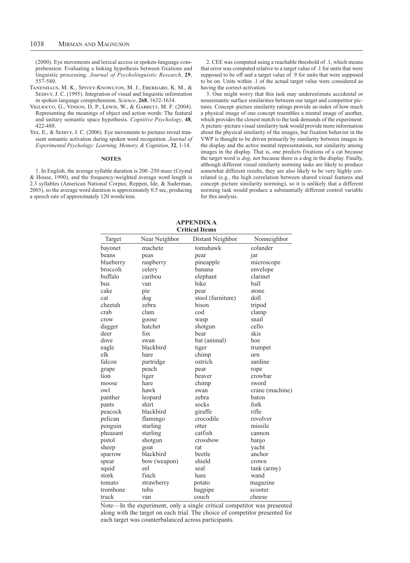(2000). Eye movements and lexical access in spoken-language comprehension: Evaluating a linking hypothesis between fixations and linguistic processing. *Journal of Psycholinguistic Research*, **29**, 557-580.

- Tanenhaus, M. K., Spivey-Knowlton, M. J., Eberhard, K. M., & SEDIVY, J. C. (1995). Integration of visual and linguistic information in spoken language comprehension. *Science*, **268**, 1632-1634.
- Vigliocco, G., Vinson, D. P., Lewis, W., & Garrett, M. F. (2004). Representing the meanings of object and action words: The featural and unitary semantic space hypothesis. *Cognitive Psychology*, **48**, 422-488.
- YEE, E., & SEDIVY, J. C. (2006). Eye movements to pictures reveal transient semantic activation during spoken word recognition. *Journal of Experimental Psychology: Learning, Memory, & Cognition*, **32**, 1-14.

#### **NOTES**

1. In English, the average syllable duration is 200–250 msec (Crystal & House, 1990), and the frequency-weighted average word length is 2.3 syllables (American National Corpus; Reppen, Ide, & Suderman, 2005), so the average word duration is approximately 0.5 sec, producing a speech rate of approximately 120 words/min.

2. CEE was computed using a reachable threshold of .1, which means that error was computed relative to a target value of .1 for units that were supposed to be off and a target value of .9 for units that were supposed to be on. Units within .1 of the actual target value were considered as having the correct activation.

3. One might worry that this task may underestimate accidental or nonsemantic surface similarities between our target and competitor pictures. Concept–picture similarity ratings provide an index of how much a physical image of one concept resembles a mental image of another, which provides the closest match to the task demands of the experiment. A picture–picture visual similarity task would provide more information about the physical similarity of the images, but fixation behavior in the VWP is thought to be driven primarily by similarity between images in the display and the active mental representations, not similarity among images in the display. That is, one predicts fixations of a cat because the target word is *dog*, not because there is a dog in the display. Finally, although different visual similarity norming tasks are likely to produce somewhat different results, they are also likely to be very highly correlated (e.g., the high correlation between shared visual features and concept–picture similarity norming), so it is unlikely that a different norming task would produce a substantially different control variable for this analysis.

|           | <b>Critical Items</b> |                   |                 |  |  |  |  |  |  |
|-----------|-----------------------|-------------------|-----------------|--|--|--|--|--|--|
| Target    | Near Neighbor         | Distant Neighbor  | Nonneighbor     |  |  |  |  |  |  |
| bayonet   | machete               | tomahawk          | colander        |  |  |  |  |  |  |
| beans     | peas                  | pear              | jar             |  |  |  |  |  |  |
| blueberry | raspberry             | pineapple         | microscope      |  |  |  |  |  |  |
| broccoli  | celery                | banana            | envelope        |  |  |  |  |  |  |
| buffalo   | caribou               | elephant          | clarinet        |  |  |  |  |  |  |
| bus       | van                   | bike              | ball            |  |  |  |  |  |  |
| cake      | pie                   | pear              | stone           |  |  |  |  |  |  |
| cat       | dog                   | stool (furniture) | doll            |  |  |  |  |  |  |
| cheetah   | zebra                 | bison             | tripod          |  |  |  |  |  |  |
| crab      | clam                  | cod               | clamp           |  |  |  |  |  |  |
| crow      | goose                 | wasp              | snail           |  |  |  |  |  |  |
| dagger    | hatchet               | shotgun           | cello           |  |  |  |  |  |  |
| deer      | fox                   | bear              | skis            |  |  |  |  |  |  |
| dove      | swan                  | bat (animal)      | hoe             |  |  |  |  |  |  |
| eagle     | blackbird             | tiger             | trumpet         |  |  |  |  |  |  |
| elk       | hare                  | chimp             | urn             |  |  |  |  |  |  |
| falcon    | partridge             | ostrich           | sardine         |  |  |  |  |  |  |
| grape     | peach                 | pear              | rope            |  |  |  |  |  |  |
| lion      | tiger                 | beaver            | crowbar         |  |  |  |  |  |  |
| moose     | hare                  | chimp             | sword           |  |  |  |  |  |  |
| owl       | hawk                  | swan              | crane (machine) |  |  |  |  |  |  |
| panther   | leopard               | zebra             | baton           |  |  |  |  |  |  |
| pants     | shirt                 | socks             | fork            |  |  |  |  |  |  |
| peacock   | blackbird             | giraffe           | rifle           |  |  |  |  |  |  |
| pelican   | flamingo              | crocodile         | revolver        |  |  |  |  |  |  |
| penguin   | starling              | otter             | missile         |  |  |  |  |  |  |
| pheasant  | starling              | catfish           | cannon          |  |  |  |  |  |  |
| pistol    | shotgun               | crossbow          | banjo           |  |  |  |  |  |  |
| sheep     | goat                  | rat               | yacht           |  |  |  |  |  |  |
| sparrow   | blackbird             | beetle            | anchor          |  |  |  |  |  |  |
| spear     | bow (weapon)          | shield            | crown           |  |  |  |  |  |  |
| squid     | eel                   | seal              | tank (army)     |  |  |  |  |  |  |
| stork     | finch                 | hare              | wand            |  |  |  |  |  |  |
| tomato    | strawberry            | potato            | magazine        |  |  |  |  |  |  |
| trombone  | tuba                  | bagpipe           | scooter         |  |  |  |  |  |  |
| truck     | van                   | couch             | cheese          |  |  |  |  |  |  |

**APPENDIXA**

Note—In the experiment, only a single critical competitor was presented along with the target on each trial. The choice of competitor presented for each target was counterbalanced across participants.